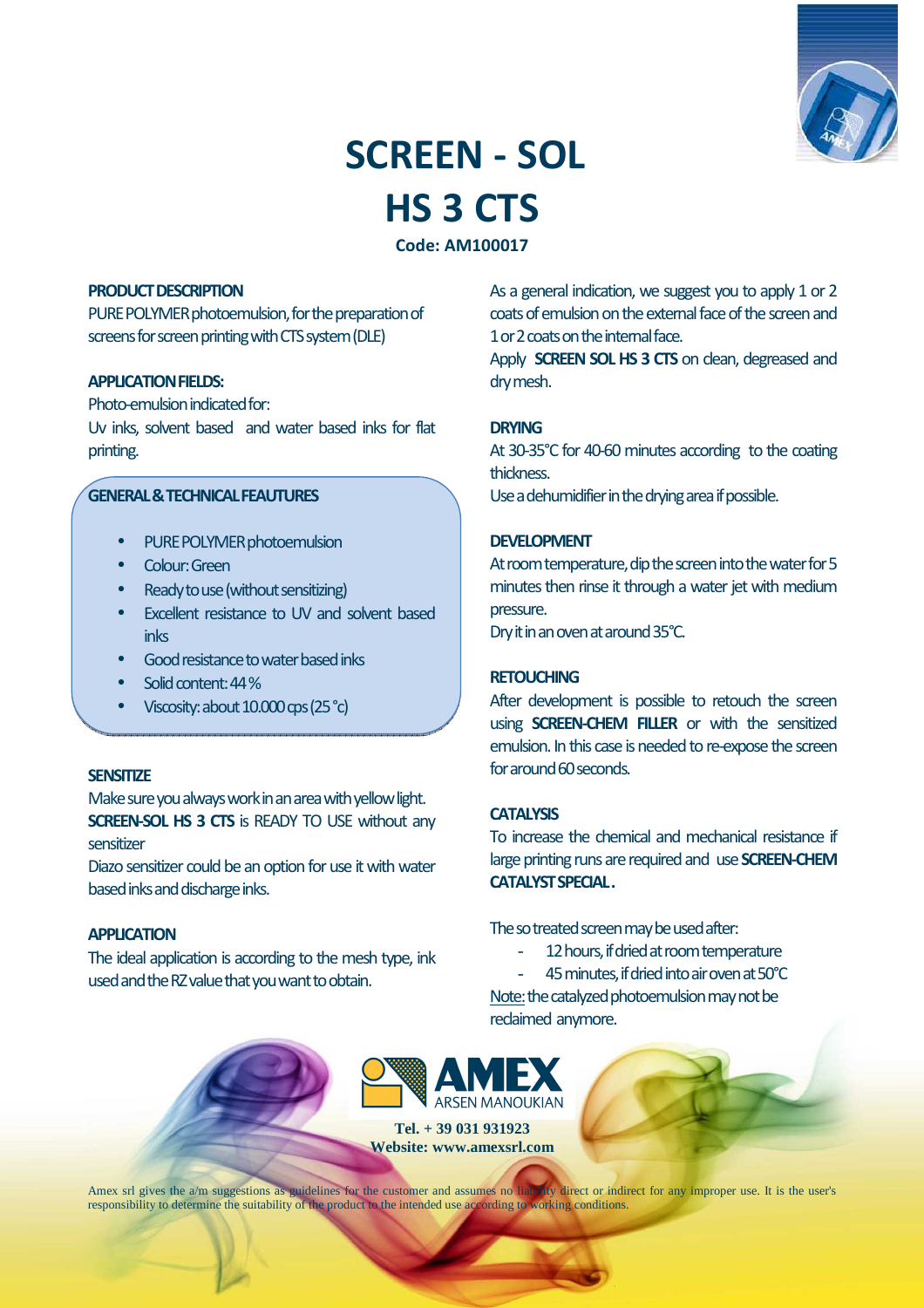

# **SCREEN - SOL HS 3 CTS**

**Code: AM100017** 

#### **PRODUCT DESCRIPTION**

PURE POLYMER photoemulsion, for the preparation of screens for screen printing with CTS system (DLE)

## **APPLICATION FIELDS:**

Photo-emulsion indicated for: Uv inks, solvent based and water based inks for flat printing.

# **GENERAL & TECHNICAL FEAUTURES**

- PURE POLYMER photoemulsion
- Colour: Green
- Ready to use (without sensitizing)
- Excellent resistance to UV and solvent based inks
- Good resistance to water based inks
- Solid content: 44 %
- Viscosity: about 10.000 cps (25 °c)

#### **SENSITIZE**

Make sure you always work in an area with yellow light. **SCREEN-SOL HS 3 CTS** is READY TO USE without any sensitizer

Diazo sensitizer could be an option for use it with water based inks and discharge inks.

#### **APPLICATION**

The ideal application is according to the mesh type, ink used and the RZ value that you want to obtain.

As a general indication, we suggest you to apply 1 or 2 coats of emulsion on the external face of the screen and 1 or 2 coats on the internal face.

Apply **SCREEN SOL HS 3 CTS** on clean, degreased and dry mesh.

#### **DRYING**

At 30-35°C for 40-60 minutes according to the coating thickness.

Use a dehumidifier in the drying area if possible.

#### **DEVELOPMENT**

At room temperature, dip the screen into the water for 5 minutes then rinse it through a water jet with medium pressure.

Dry it in an oven at around 35°C.

#### **RETOUCHING**

After development is possible to retouch the screen using **SCREEN-CHEM FILLER** or with the sensitized emulsion. In this case is needed to re-expose the screen for around 60 seconds.

#### **CATALYSIS**

To increase the chemical and mechanical resistance if large printing runs are required and use **SCREEN-CHEM CATALYST SPECIAL .** 

The so treated screen may be used after:

- 12 hours, if dried at room temperature
- 45 minutes, if dried into air oven at 50°C

Note: the catalyzed photoemulsion may not be reclaimed anymore.



**Tel. + 39 031 931923 Website: www.amexsrl.com** 

Amex srl gives the a/m suggestions as guidelines for the customer and assumes no liability direct or indirect for any improper use. It is the user's responsibility to determine the suitability of the product to the intended use according to working conditions.